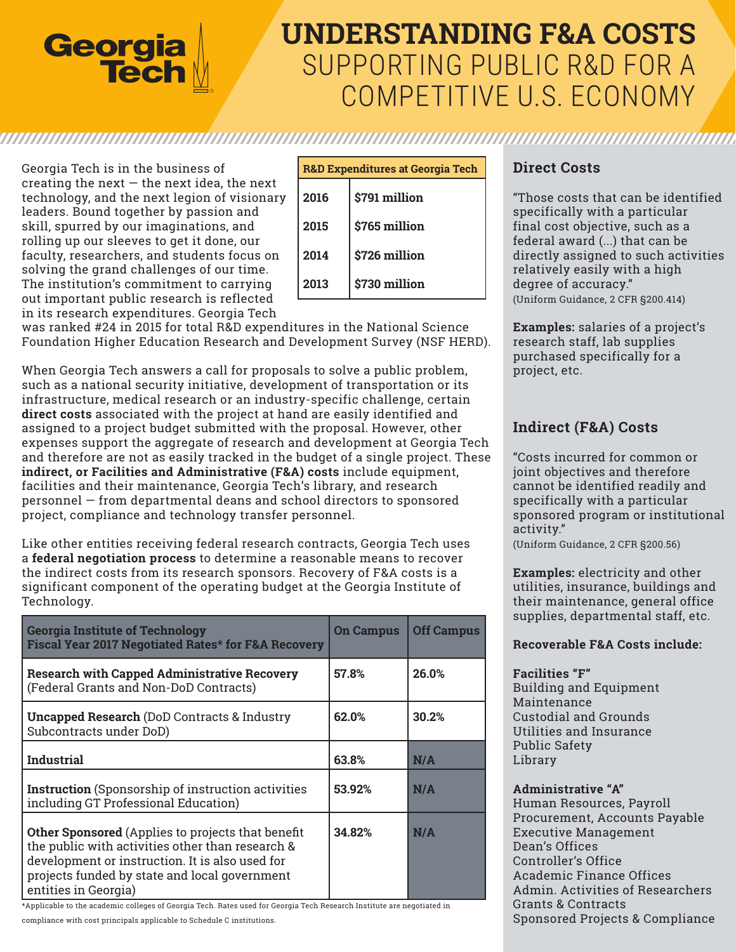

# **UNDERSTANDING F&A COSTS** SUPPORTING PUBLIC R&D FOR A COMPETITIVE U.S. ECONOMY

Georgia Tech is in the business of creating the next  $-$  the next idea, the next technology, and the next legion of visionary leaders. Bound together by passion and skill, spurred by our imaginations, and rolling up our sleeves to get it done, our faculty, researchers, and students focus on solving the grand challenges of our time. The institution's commitment to carrying out important public research is reflected in its research expenditures. Georgia Tech

| <b>R&amp;D Expenditures at Georgia Tech</b> |               |  |
|---------------------------------------------|---------------|--|
| 2016                                        | \$791 million |  |
| 2015                                        | \$765 million |  |
| 2014                                        | \$726 million |  |
| 2013                                        | \$730 million |  |

was ranked #24 in 2015 for total R&D expenditures in the National Science Foundation Higher Education Research and Development Survey (NSF HERD).

When Georgia Tech answers a call for proposals to solve a public problem, such as a national security initiative, development of transportation or its infrastructure, medical research or an industry-specific challenge, certain **direct costs** associated with the project at hand are easily identified and assigned to a project budget submitted with the proposal. However, other expenses support the aggregate of research and development at Georgia Tech and therefore are not as easily tracked in the budget of a single project. These **indirect, or Facilities and Administrative (F&A) costs** include equipment, facilities and their maintenance, Georgia Tech's library, and research personnel — from departmental deans and school directors to sponsored project, compliance and technology transfer personnel.

Like other entities receiving federal research contracts, Georgia Tech uses a **federal negotiation process** to determine a reasonable means to recover the indirect costs from its research sponsors. Recovery of F&A costs is a significant component of the operating budget at the Georgia Institute of Technology.

| <b>Georgia Institute of Technology</b><br>Fiscal Year 2017 Negotiated Rates* for F&A Recovery                                                                                                                                            | <b>On Campus</b> | <b>Off Campus</b> |
|------------------------------------------------------------------------------------------------------------------------------------------------------------------------------------------------------------------------------------------|------------------|-------------------|
| <b>Research with Capped Administrative Recovery</b><br>(Federal Grants and Non-DoD Contracts)                                                                                                                                            | 57.8%            | 26.0%             |
| <b>Uncapped Research (DoD Contracts &amp; Industry</b><br>Subcontracts under DoD)                                                                                                                                                        | 62.0%            | 30.2%             |
| <b>Industrial</b>                                                                                                                                                                                                                        | 63.8%            | N/A               |
| <b>Instruction</b> (Sponsorship of instruction activities<br>including GT Professional Education)                                                                                                                                        | 53.92%           | N/A               |
| <b>Other Sponsored</b> (Applies to projects that benefit<br>the public with activities other than research &<br>development or instruction. It is also used for<br>projects funded by state and local government<br>entities in Georgia) | 34.82%           | N/A               |

\*Applicable to the academic colleges of Georgia Tech. Rates used for Georgia Tech Research Institute are negotiated in

compliance with cost principals applicable to Schedule C institutions.

## **Direct Costs**

"Those costs that can be identified specifically with a particular final cost objective, such as a federal award (...) that can be directly assigned to such activities relatively easily with a high degree of accuracy." (Uniform Guidance, 2 CFR §200.414)

**Examples:** salaries of a project's research staff, lab supplies purchased specifically for a project, etc.

# **Indirect (F&A) Costs**

"Costs incurred for common or joint objectives and therefore cannot be identified readily and specifically with a particular sponsored program or institutional activity."

(Uniform Guidance, 2 CFR §200.56)

**Examples:** electricity and other utilities, insurance, buildings and their maintenance, general office supplies, departmental staff, etc.

## **Recoverable F&A Costs include:**

### **Facilities "F"**

Building and Equipment Maintenance Custodial and Grounds Utilities and Insurance Public Safety Library

## **Administrative "A"**

Human Resources, Payroll Procurement, Accounts Payable Executive Management Dean's Offices Controller's Office Academic Finance Offices Admin. Activities of Researchers Grants & Contracts Sponsored Projects & Compliance